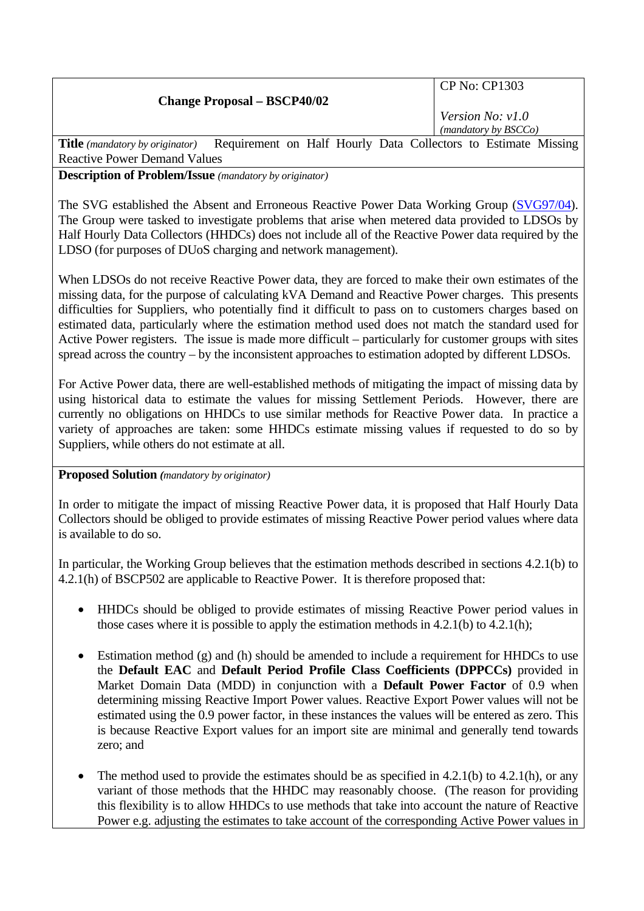|  | <b>Change Proposal - BSCP40/02</b> |
|--|------------------------------------|
|  |                                    |

CP No: CP1303

*Version No: v1.0 (mandatory by BSCCo)*

Title (mandatory by originator) Requirement on Half Hourly Data Collectors to Estimate Missing Reactive Power Demand Values

**Description of Problem/Issue** *(mandatory by originator)* 

The SVG established the Absent and Erroneous Reactive Power Data Working Group [\(SVG97/04](http://www.elexon.co.uk/documents/BSC_Panel_and_Panel_Committees/SVG_Meeting_2008_-_097_-_Papers/SVG97_04_v1.0.pdf)). The Group were tasked to investigate problems that arise when metered data provided to LDSOs by Half Hourly Data Collectors (HHDCs) does not include all of the Reactive Power data required by the LDSO (for purposes of DUoS charging and network management).

When LDSOs do not receive Reactive Power data, they are forced to make their own estimates of the missing data, for the purpose of calculating kVA Demand and Reactive Power charges. This presents difficulties for Suppliers, who potentially find it difficult to pass on to customers charges based on estimated data, particularly where the estimation method used does not match the standard used for Active Power registers. The issue is made more difficult – particularly for customer groups with sites spread across the country – by the inconsistent approaches to estimation adopted by different LDSOs.

For Active Power data, there are well-established methods of mitigating the impact of missing data by using historical data to estimate the values for missing Settlement Periods. However, there are currently no obligations on HHDCs to use similar methods for Reactive Power data. In practice a variety of approaches are taken: some HHDCs estimate missing values if requested to do so by Suppliers, while others do not estimate at all.

**Proposed Solution** *(mandatory by originator)* 

In order to mitigate the impact of missing Reactive Power data, it is proposed that Half Hourly Data Collectors should be obliged to provide estimates of missing Reactive Power period values where data is available to do so.

In particular, the Working Group believes that the estimation methods described in sections 4.2.1(b) to 4.2.1(h) of BSCP502 are applicable to Reactive Power. It is therefore proposed that:

- HHDCs should be obliged to provide estimates of missing Reactive Power period values in those cases where it is possible to apply the estimation methods in 4.2.1(b) to 4.2.1(h);
- Estimation method (g) and (h) should be amended to include a requirement for HHDCs to use the **Default EAC** and **Default Period Profile Class Coefficients (DPPCCs)** provided in Market Domain Data (MDD) in conjunction with a **Default Power Factor** of 0.9 when determining missing Reactive Import Power values. Reactive Export Power values will not be estimated using the 0.9 power factor, in these instances the values will be entered as zero. This is because Reactive Export values for an import site are minimal and generally tend towards zero; and
- The method used to provide the estimates should be as specified in  $4.2.1(b)$  to  $4.2.1(h)$ , or any variant of those methods that the HHDC may reasonably choose. (The reason for providing this flexibility is to allow HHDCs to use methods that take into account the nature of Reactive Power e.g. adjusting the estimates to take account of the corresponding Active Power values in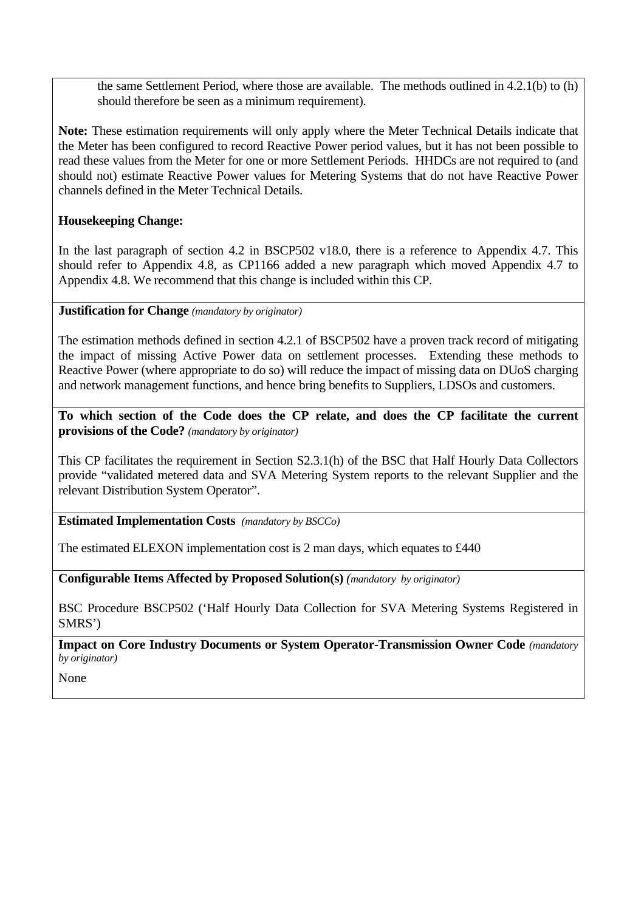the same Settlement Period, where those are available. The methods outlined in 4.2.1(b) to (h) should therefore be seen as a minimum requirement).

**Note:** These estimation requirements will only apply where the Meter Technical Details indicate that the Meter has been configured to record Reactive Power period values, but it has not been possible to read these values from the Meter for one or more Settlement Periods. HHDCs are not required to (and should not) estimate Reactive Power values for Metering Systems that do not have Reactive Power channels defined in the Meter Technical Details.

## **Housekeeping Change:**

In the last paragraph of section 4.2 in BSCP502 v18.0, there is a reference to Appendix 4.7. This should refer to Appendix 4.8, as CP1166 added a new paragraph which moved Appendix 4.7 to Appendix 4.8. We recommend that this change is included within this CP.

**Justification for Change** *(mandatory by originator)* 

The estimation methods defined in section 4.2.1 of BSCP502 have a proven track record of mitigating the impact of missing Active Power data on settlement processes. Extending these methods to Reactive Power (where appropriate to do so) will reduce the impact of missing data on DUoS charging and network management functions, and hence bring benefits to Suppliers, LDSOs and customers.

**To which section of the Code does the CP relate, and does the CP facilitate the current provisions of the Code?** *(mandatory by originator)* 

This CP facilitates the requirement in Section S2.3.1(h) of the BSC that Half Hourly Data Collectors provide "validated metered data and SVA Metering System reports to the relevant Supplier and the relevant Distribution System Operator".

**Estimated Implementation Costs** *(mandatory by BSCCo)* 

The estimated ELEXON implementation cost is 2 man days, which equates to £440

**Configurable Items Affected by Proposed Solution(s)** *(mandatory by originator)* 

BSC Procedure BSCP502 ('Half Hourly Data Collection for SVA Metering Systems Registered in SMRS')

**Impact on Core Industry Documents or System Operator-Transmission Owner Code** *(mandatory by originator)* 

None